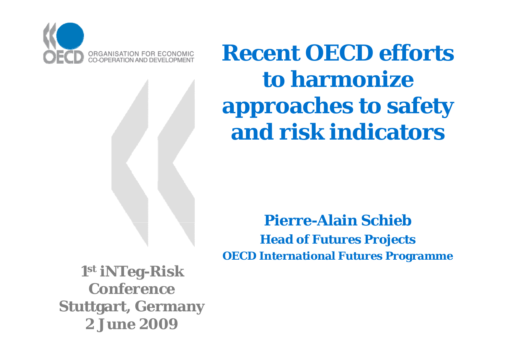

**Recent OECD efforts to harmonize approaches to safety and risk indicators**

#### **Pierre-Alain SchiebHead of Futures Projects OECD International Futures Programme**

**1st iNTeg-Risk ConferenceStuttgart, Germany 2 June 2009**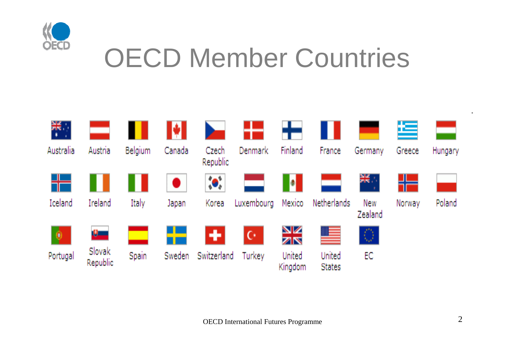

### OECD Member Countries

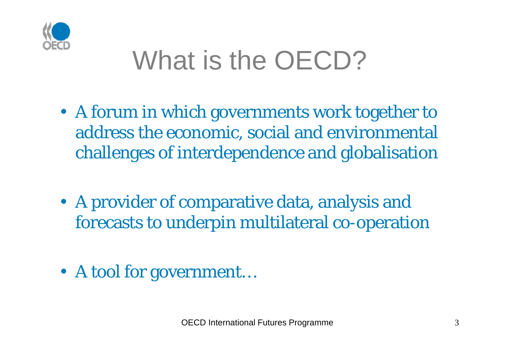

## What is the OECD?

- A forum in which governments work together to address the economic, social and environmental challenges of interdependence and globalisation
- A provider of comparative data, analysis and forecasts to underpin multilateral co-operation
- A tool for government…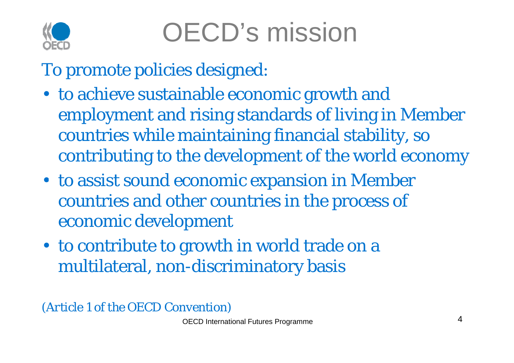

To promote policies designed:

- to achieve sustainable economic growth and employment and rising standards of living in Member countries while maintaining financial stability, so contributing to the development of the world economy
- to assist sound economic expansion in Member countries and other countries in the process of economic development
- to contribute to growth in world trade on a multilateral, non-discriminatory basis

*(A ti l f th OECD C ti ) (Arti cl e 1 of the Convention)*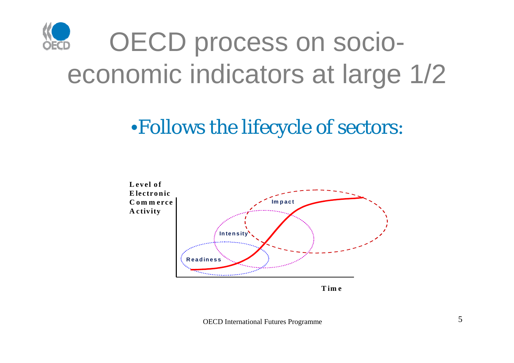

#### •Follows the lifecycle of sectors:



**Tim <sup>e</sup>**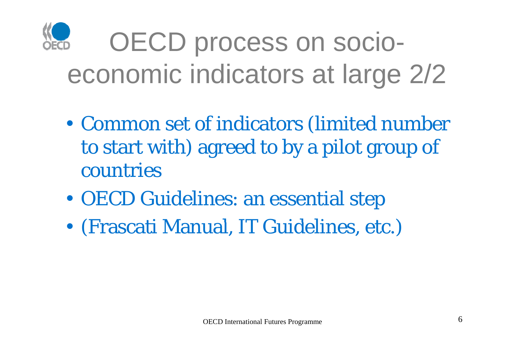

# OECD process on socioeconomic indicators at large 2/2

- • Common set of indicators (limited number to start with) agreed to by a pilot group of countries
- •OECD Guidelines: an essential step
- •• (Frascati Manual, IT Guidelines, etc.)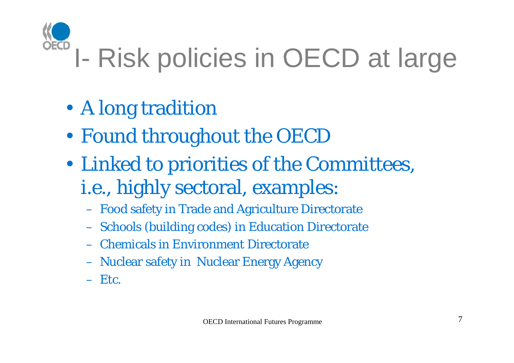# I- Risk policies in OECD at large

- •A long tradition
- •Found throughout the OECD
- • Linked to priorities of the Committees, *i.e.,* highly sectoral, examples:
	- Food safety in Trade and Agriculture Directorate
	- **Schools (building codes) in Education Directorate**
	- Chemicals in Environment Directorate
	- Nuclear safety in Nuclear Energy Agency
	- Etc.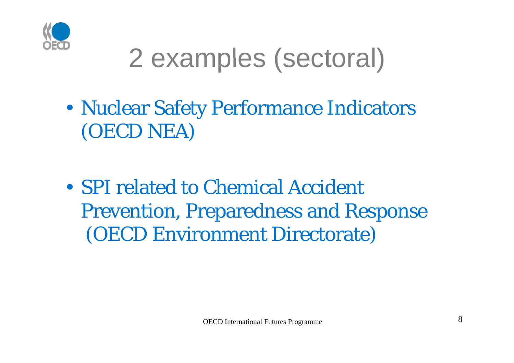

### 2 examples (sectoral)

- • Nuclear Safety Performance Indicators (OECD NEA)
- SPI related to Chemical Accident Prevention, Preparedness and Response (OECD Environment Directorate)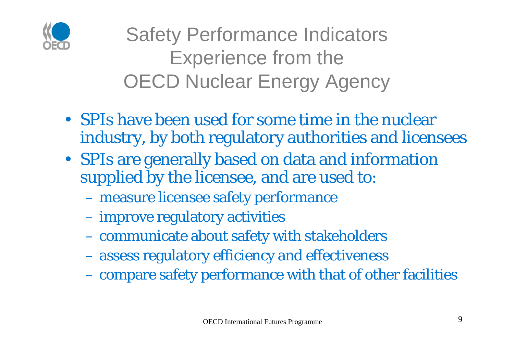

Safety Performance Indicators Experience from the **OECD Nuclear Energy Agency** 

- SPIs have been used for some time in the nuclear industry, by both regulatory authorities and licensees
- SPIs are generally based on data and information supplied by the licensee, and are used to:
	- measure licensee safety performance
	- improve regulatory activities
	- communicate about safety with stakeholders
	- assess regulatory efficiency and effectiveness
	- compare safety performance with that of other facilities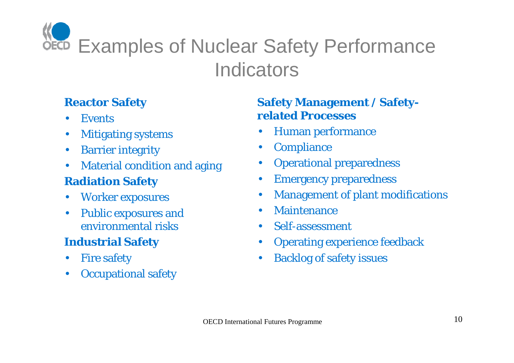**OECD** Examples of Nuclear Safety Performance **Indicators** 

#### **Reactor Saf**

- •Events
- $\bullet$ Miti gating systems
- •Barrier integrity
- •Material condition and aging

#### **Radiation Safety**

- $\bullet$ Worker exposures
- • Public exposures and environmental risks

#### **Industrial Safety**

- •Fire safety
- $\bullet$ Occupational safety

#### **fety S f M / S f a fety Management a fetyrelated Processes**

- Human performance
- $\bullet$ **Compliance**
- $\bullet$ Operational preparedness
- $\bullet$ Emergency preparedness
- $\bullet$ Management of plant modifications
- $\bullet$ **Maintenance**
- s Self-assessment •
	- •Operating experience feedback
- y **blacklog** of safety issues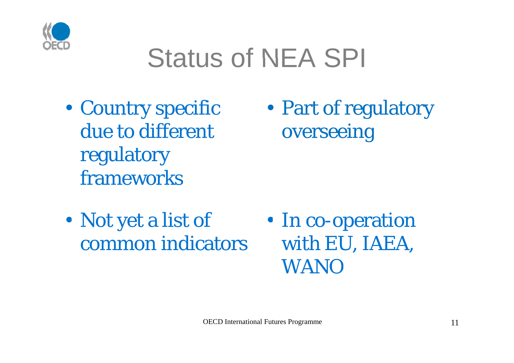

### Status of NEA SPI

• Country specific due to different regulatory frameworks

•Part of regulatory overseeing

- •• Not yet a list of common indicators
- In co-operation<br>with EU, IAEA, WANO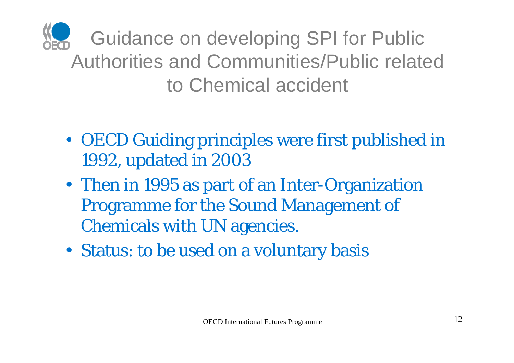

Guidance on developing SPI for Public Authorities and Communities/Public related to Chemical accident

- OECD Guiding principles were first published in 1992, updated in 2003
- Then in 1995 as part of an Inter-Organization Programme for the Sound Management of Chemicals with UN agencies.
- Status: to be used on a voluntary basis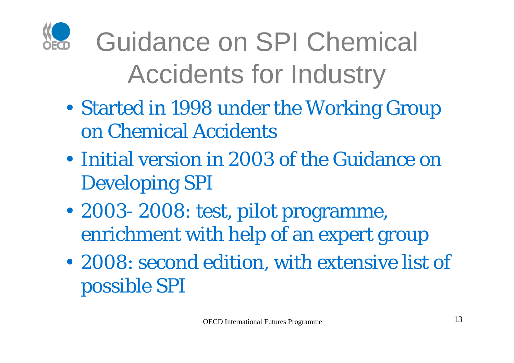

# Guidance on SPI Chemical Accidents for Industry

- • Started in 1998 under the Working Group on Chemical Accidents
- Initial version in 2003 of the Guidance on Developing SPI
- • 2003- 2008: test, pilot programme, enrichment with help of an expert group
- •• 2008: second edition, with extensive list of possible SPI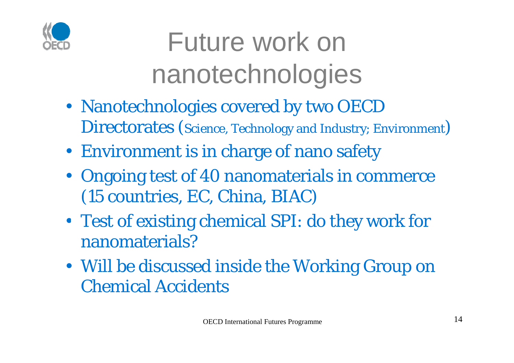

Future work on nanotechnologies

- Nanotechnologies covered by two OECD Directorates (Science, Technology and Industry; Environment)
- Environment is in charge of nano safety
- Ongoing test of 40 nanomaterials in commerce (15 countries, EC, China, BIAC)
- Test of existing chemical SPI: do they work for nanomaterials?
- Will be discussed inside the Working Group on Chemical Accidents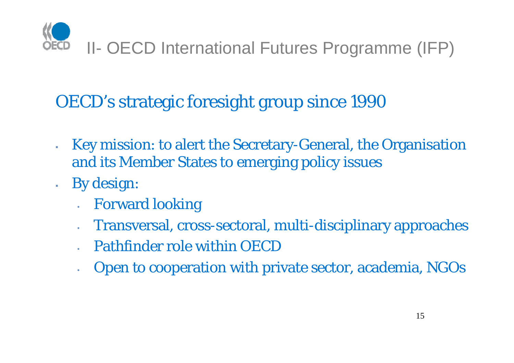

#### OECD's strategic foresight group since 1990

- $\mathbf{r}$ **Key mission: to alert the Secretary-General, the Organisation** and its Member States to emerging policy issues
- $\mathbf{r}^{\prime}$  By design:
	- •Forward looking
	- •Transversal, cross-sectoral, multi-disciplinary approaches
	- Pathfinder role within OECD
	- •Open to cooperation with private sector, academia, NGOs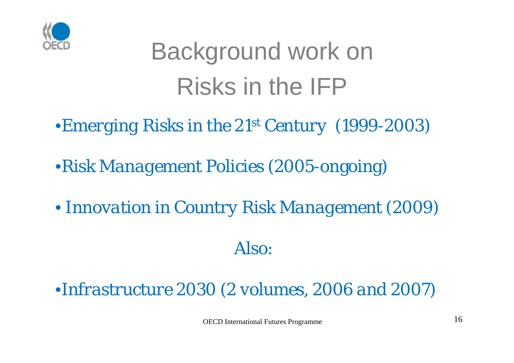

## Background work on Risks in the IFP

- •*Emerging Risks in the 21st Century* (1999-2003)
- •*Risk Management Policies* (2005-ongoing)
- *Innovation in Country Risk Management* (2009)

#### Also:

•*Infrastructure 2030 (2 volumes, 2006 and 2007)*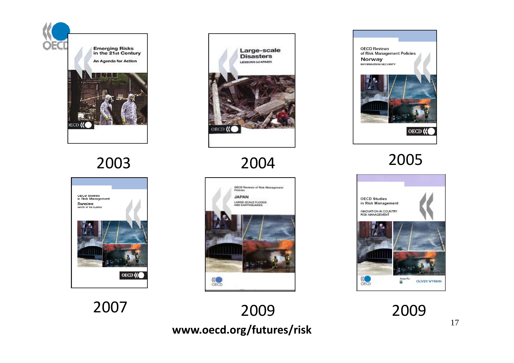







2004



**www.oecd.org/futures/risk** 2009



2005

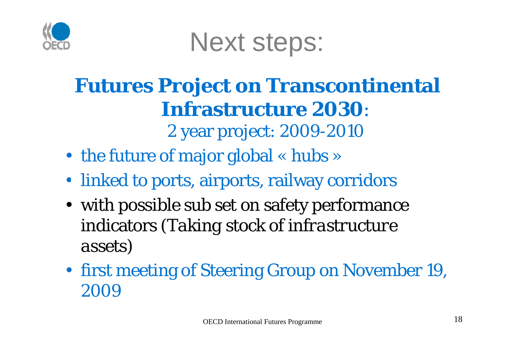

Next steps:

### **Futures Project on Transcontinental Infrastructure 2030**:

2 year project: 2009-2010

- the future of major global « hubs »
- linked to ports, airports, railway corridors
- with possible sub set on safety performance <sup>i</sup> di <sup>t</sup> ( indicators *T ki <sup>t</sup> k f i f <sup>t</sup> <sup>t</sup> Taking stock of infrastructure assets)*
- first meeting of Steering Group on November 19, 2009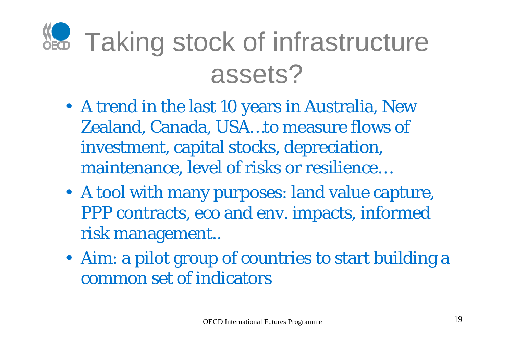# **KG** Taking stock of infrastructure assets?

- A trend in the last 10 years in Australia, New Zealand, Canada, USA…to measure flows of investment, capital stocks, depreciation, maintenance, level of risks or resilience…
- A tool with many purposes: land value capture, PPP contracts, eco and env. impacts, informed risk management..
- Aim: a pilot group of countries to start building a common set of indicators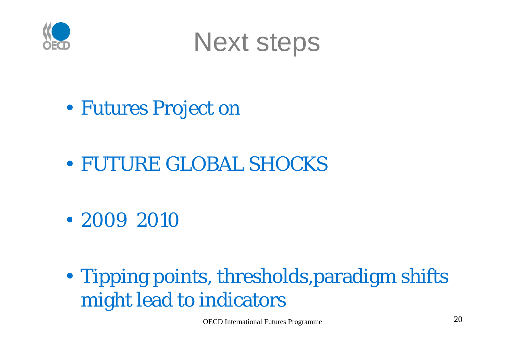



- Futures Project on
- FUTURE GLOBAL SHOCKS
- 2009 2010
- • Tipping points, thresholds,paradigm shifts might lead to indicators